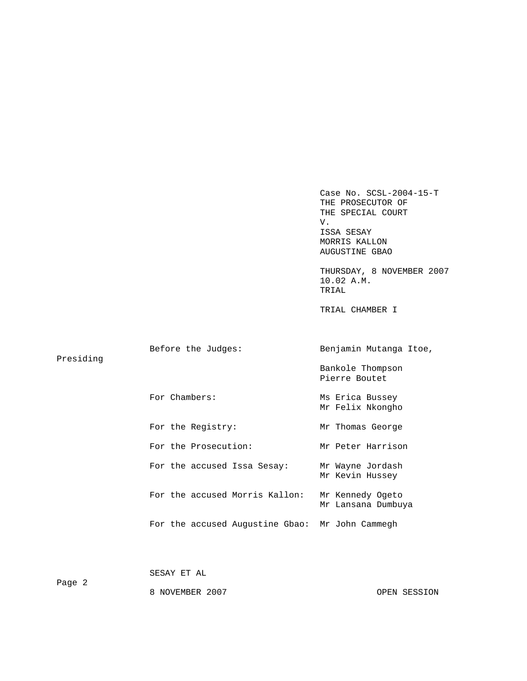Case No. SCSL-2004-15-T THE PROSECUTOR OF THE SPECIAL COURT V. V. ISSA SESAY MORRIS KALLON AUGUSTINE GBAO

 THURSDAY, 8 NOVEMBER 2007 10.02 A.M.<br>TRIAL TRIAL

TRIAL CHAMBER I

| Presiding | Before the Judges:                              | Benjamin Mutanga Itoe,                 |  |  |
|-----------|-------------------------------------------------|----------------------------------------|--|--|
|           |                                                 | Bankole Thompson<br>Pierre Boutet      |  |  |
|           | For Chambers:                                   | Ms Erica Bussey<br>Mr Felix Nkongho    |  |  |
|           | For the Registry:                               | Mr Thomas George                       |  |  |
|           | For the Prosecution:                            | Mr Peter Harrison                      |  |  |
|           | For the accused Issa Sesay:                     | Mr Wayne Jordash<br>Mr Kevin Hussey    |  |  |
|           | For the accused Morris Kallon:                  | Mr Kennedy Ogeto<br>Mr Lansana Dumbuya |  |  |
|           | For the accused Augustine Gbao: Mr John Cammegh |                                        |  |  |
|           |                                                 |                                        |  |  |

SESAY ET AL

Page 2

8 NOVEMBER 2007 CPEN SESSION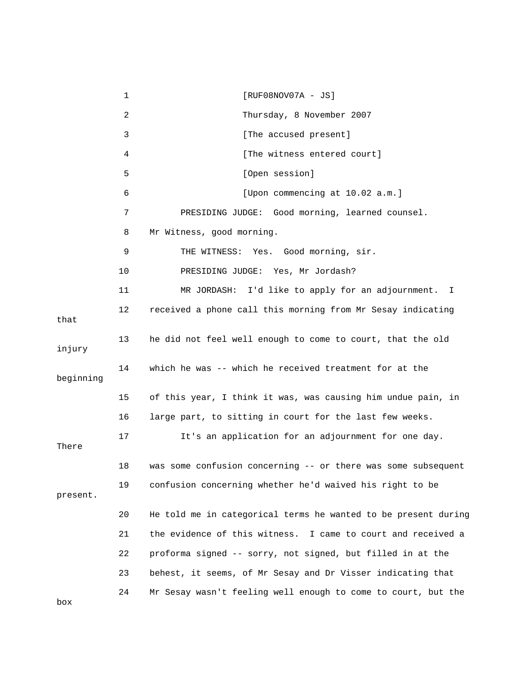|           | 1  | $[RUF08NOV07A - JS]$                                           |
|-----------|----|----------------------------------------------------------------|
|           | 2  | Thursday, 8 November 2007                                      |
|           | 3  | [The accused present]                                          |
|           | 4  | [The witness entered court]                                    |
|           | 5  | [Open session]                                                 |
|           | 6  | [Upon commencing at 10.02 a.m.]                                |
|           | 7  | PRESIDING JUDGE: Good morning, learned counsel.                |
|           | 8  | Mr Witness, good morning.                                      |
|           | 9  | THE WITNESS: Yes. Good morning, sir.                           |
|           | 10 | PRESIDING JUDGE: Yes, Mr Jordash?                              |
|           | 11 | MR JORDASH: I'd like to apply for an adjournment. I            |
| that      | 12 | received a phone call this morning from Mr Sesay indicating    |
| injury    | 13 | he did not feel well enough to come to court, that the old     |
| beginning | 14 | which he was -- which he received treatment for at the         |
|           | 15 | of this year, I think it was, was causing him undue pain, in   |
|           | 16 | large part, to sitting in court for the last few weeks.        |
| There     | 17 | It's an application for an adjournment for one day.            |
|           | 18 | was some confusion concerning -- or there was some subsequent  |
| present.  | 19 | confusion concerning whether he'd waived his right to be       |
|           | 20 | He told me in categorical terms he wanted to be present during |
|           | 21 | the evidence of this witness. I came to court and received a   |
|           | 22 | proforma signed -- sorry, not signed, but filled in at the     |
|           | 23 | behest, it seems, of Mr Sesay and Dr Visser indicating that    |
| box       | 24 | Mr Sesay wasn't feeling well enough to come to court, but the  |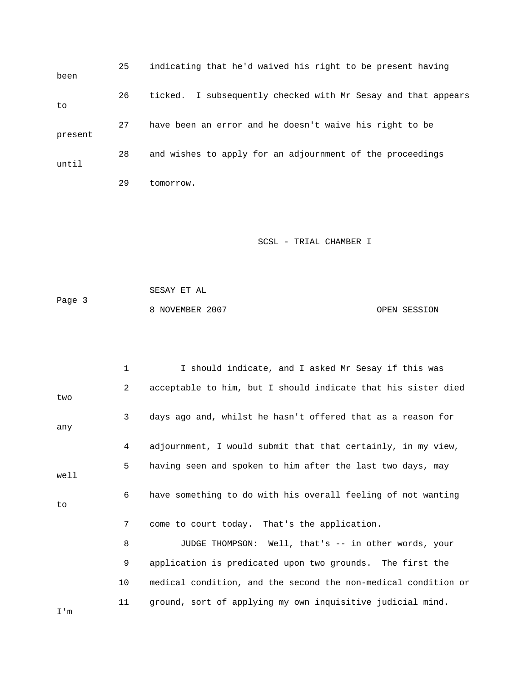| been    | 25 | indicating that he'd waived his right to be present having    |
|---------|----|---------------------------------------------------------------|
| to      | 26 | ticked. I subsequently checked with Mr Sesay and that appears |
| present | 27 | have been an error and he doesn't waive his right to be       |
| until   | 28 | and wishes to apply for an adjournment of the proceedings     |
|         | 29 | tomorrow.                                                     |

 SESAY ET AL Page 3 8 NOVEMBER 2007 CPEN SESSION

|      | 1              | I should indicate, and I asked Mr Sesay if this was            |
|------|----------------|----------------------------------------------------------------|
| two  | $\overline{2}$ | acceptable to him, but I should indicate that his sister died  |
| any  | 3              | days ago and, whilst he hasn't offered that as a reason for    |
|      | 4              | adjournment, I would submit that that certainly, in my view,   |
| well | 5              | having seen and spoken to him after the last two days, may     |
| to   | 6              | have something to do with his overall feeling of not wanting   |
|      | 7              | come to court today. That's the application.                   |
|      | 8              | JUDGE THOMPSON: Well, that's -- in other words, your           |
|      | 9              | application is predicated upon two grounds. The first the      |
|      | 10             | medical condition, and the second the non-medical condition or |
| I'm  | 11             | ground, sort of applying my own inquisitive judicial mind.     |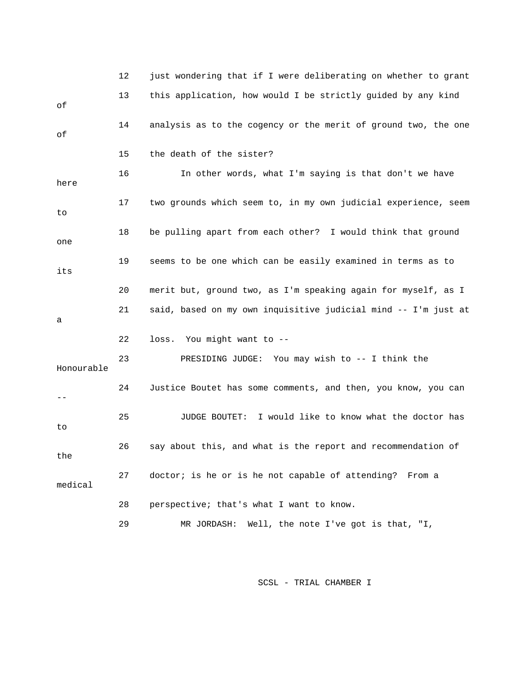|            | 12 | just wondering that if I were deliberating on whether to grant |
|------------|----|----------------------------------------------------------------|
| оf         | 13 | this application, how would I be strictly guided by any kind   |
| оf         | 14 | analysis as to the cogency or the merit of ground two, the one |
|            | 15 | the death of the sister?                                       |
| here       | 16 | In other words, what I'm saying is that don't we have          |
| to         | 17 | two grounds which seem to, in my own judicial experience, seem |
| one        | 18 | be pulling apart from each other? I would think that ground    |
| its        | 19 | seems to be one which can be easily examined in terms as to    |
|            | 20 | merit but, ground two, as I'm speaking again for myself, as I  |
| а          | 21 | said, based on my own inquisitive judicial mind -- I'm just at |
|            | 22 | loss. You might want to --                                     |
| Honourable | 23 | PRESIDING JUDGE: You may wish to -- I think the                |
| $- -$      | 24 | Justice Boutet has some comments, and then, you know, you can  |
| to         | 25 | I would like to know what the doctor has<br>JUDGE BOUTET:      |
| the        | 26 | say about this, and what is the report and recommendation of   |
| medical    | 27 | doctor; is he or is he not capable of attending? From a        |
|            | 28 | perspective; that's what I want to know.                       |
|            | 29 | Well, the note I've got is that, "I,<br>MR JORDASH:            |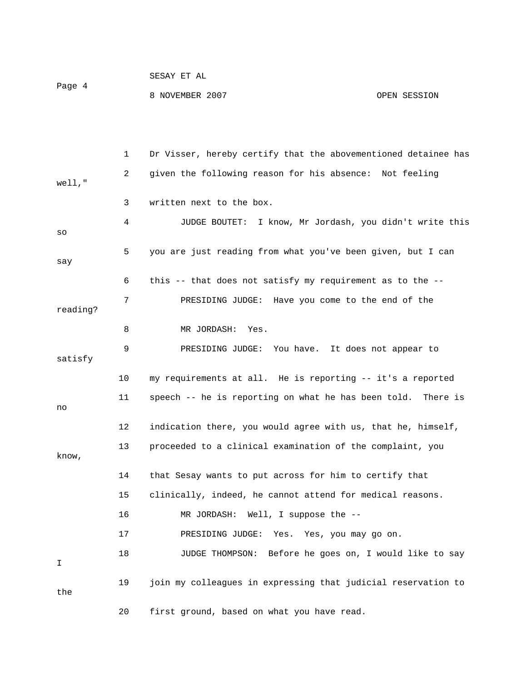| Page 4 | SESAY ET AL     |              |
|--------|-----------------|--------------|
|        | 8 NOVEMBER 2007 | OPEN SESSION |

|          | 1  | Dr Visser, hereby certify that the abovementioned detainee has |
|----------|----|----------------------------------------------------------------|
| well,"   | 2  | given the following reason for his absence: Not feeling        |
|          | 3  | written next to the box.                                       |
| SO       | 4  | JUDGE BOUTET: I know, Mr Jordash, you didn't write this        |
| say      | 5. | you are just reading from what you've been given, but I can    |
|          | 6  | this -- that does not satisfy my requirement as to the --      |
| reading? | 7  | PRESIDING JUDGE: Have you come to the end of the               |
|          | 8  | MR JORDASH:<br>Yes.                                            |
| satisfy  | 9  | PRESIDING JUDGE: You have. It does not appear to               |
|          | 10 | my requirements at all. He is reporting -- it's a reported     |
| no       | 11 | speech -- he is reporting on what he has been told. There is   |
|          | 12 | indication there, you would agree with us, that he, himself,   |
| know,    | 13 | proceeded to a clinical examination of the complaint, you      |
|          | 14 | that Sesay wants to put across for him to certify that         |
|          | 15 | clinically, indeed, he cannot attend for medical reasons.      |
|          | 16 | Well, I suppose the --<br>MR JORDASH:                          |
|          | 17 | PRESIDING JUDGE:<br>Yes.<br>Yes, you may go on.                |
| I        | 18 | JUDGE THOMPSON: Before he goes on, I would like to say         |
| the      | 19 | join my colleagues in expressing that judicial reservation to  |
|          | 20 | first ground, based on what you have read.                     |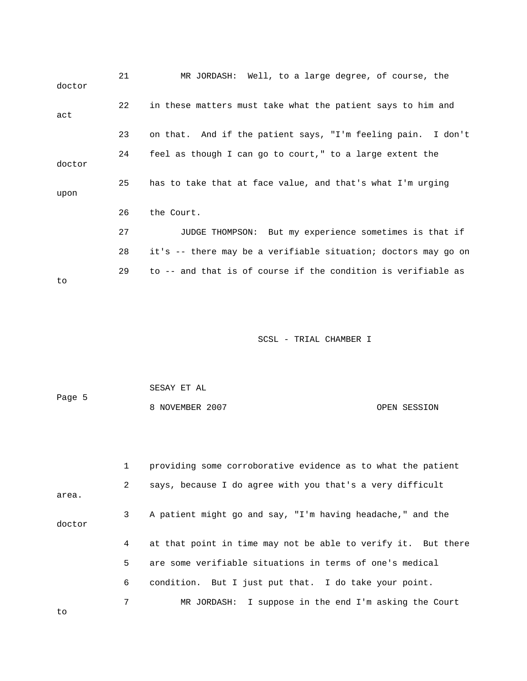| doctor | 21 | MR JORDASH: Well, to a large degree, of course, the            |
|--------|----|----------------------------------------------------------------|
| act    | 22 | in these matters must take what the patient says to him and    |
|        | 23 | on that. And if the patient says, "I'm feeling pain. I don't   |
| doctor | 24 | feel as though I can go to court," to a large extent the       |
| upon   | 25 | has to take that at face value, and that's what I'm urging     |
|        | 26 | the Court.                                                     |
|        | 27 | JUDGE THOMPSON: But my experience sometimes is that if         |
|        | 28 | it's -- there may be a verifiable situation; doctors may go on |
| to     | 29 | to -- and that is of course if the condition is verifiable as  |

| SESAY ET AL     |              |  |  |
|-----------------|--------------|--|--|
| 8 NOVEMBER 2007 | OPEN SESSION |  |  |
|                 |              |  |  |
|                 |              |  |  |

|        | 1               | providing some corroborative evidence as to what the patient  |
|--------|-----------------|---------------------------------------------------------------|
| area.  | $\mathbf{2}$    | says, because I do agree with you that's a very difficult     |
| doctor | 3               | A patient might go and say, "I'm having headache," and the    |
|        | $4\overline{ }$ | at that point in time may not be able to verify it. But there |
|        | 5 <sup>1</sup>  | are some verifiable situations in terms of one's medical      |
|        | 6               | condition. But I just put that. I do take your point.         |
| to     | 7               | MR JORDASH: I suppose in the end I'm asking the Court         |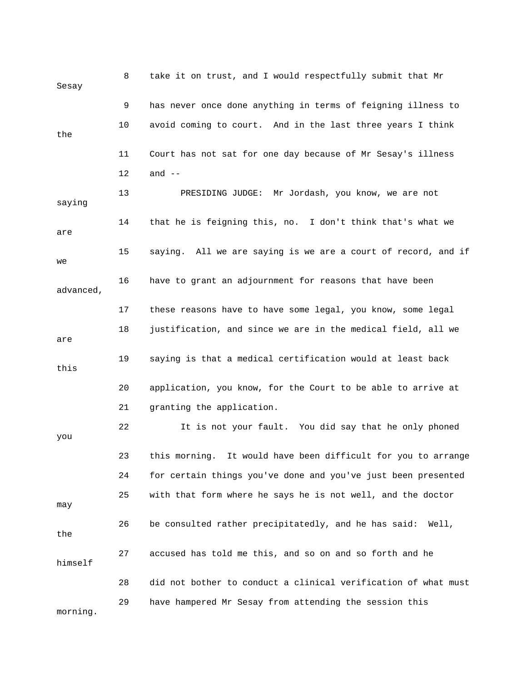| Sesay     | 8  | take it on trust, and I would respectfully submit that Mr      |
|-----------|----|----------------------------------------------------------------|
|           | 9  | has never once done anything in terms of feigning illness to   |
| the       | 10 | avoid coming to court. And in the last three years I think     |
|           | 11 | Court has not sat for one day because of Mr Sesay's illness    |
|           | 12 | and $--$                                                       |
| saying    | 13 | PRESIDING JUDGE: Mr Jordash, you know, we are not              |
| are       | 14 | that he is feigning this, no. I don't think that's what we     |
| we        | 15 | saying. All we are saying is we are a court of record, and if  |
| advanced, | 16 | have to grant an adjournment for reasons that have been        |
|           | 17 | these reasons have to have some legal, you know, some legal    |
| are       | 18 | justification, and since we are in the medical field, all we   |
| this      | 19 | saying is that a medical certification would at least back     |
|           | 20 | application, you know, for the Court to be able to arrive at   |
|           | 21 | granting the application.                                      |
| you       | 22 | It is not your fault. You did say that he only phoned          |
|           | 23 | this morning. It would have been difficult for you to arrange  |
|           | 24 | for certain things you've done and you've just been presented  |
| may       | 25 | with that form where he says he is not well, and the doctor    |
| the       | 26 | be consulted rather precipitatedly, and he has said: Well,     |
| himself   | 27 | accused has told me this, and so on and so forth and he        |
|           | 28 | did not bother to conduct a clinical verification of what must |
| morning.  | 29 | have hampered Mr Sesay from attending the session this         |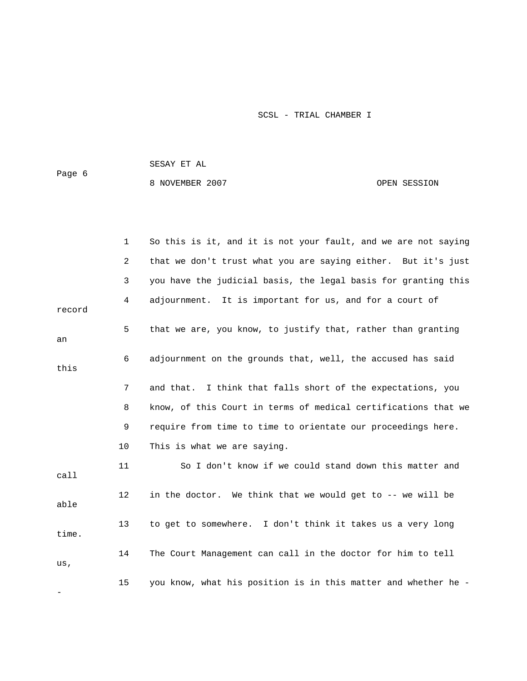8 NOVEMBER 2007 CPEN SESSION

|        | 1  | So this is it, and it is not your fault, and we are not saying |
|--------|----|----------------------------------------------------------------|
|        | 2  | that we don't trust what you are saying either. But it's just  |
|        | 3  | you have the judicial basis, the legal basis for granting this |
| record | 4  | adjournment. It is important for us, and for a court of        |
| an     | 5  | that we are, you know, to justify that, rather than granting   |
| this   | 6  | adjournment on the grounds that, well, the accused has said    |
|        | 7  | and that. I think that falls short of the expectations, you    |
|        | 8  | know, of this Court in terms of medical certifications that we |
|        | 9  | require from time to time to orientate our proceedings here.   |
|        | 10 | This is what we are saying.                                    |
| call   | 11 | So I don't know if we could stand down this matter and         |
| able   | 12 | in the doctor. We think that we would get to -- we will be     |
| time.  | 13 | to get to somewhere. I don't think it takes us a very long     |
| us,    | 14 | The Court Management can call in the doctor for him to tell    |
|        | 15 | you know, what his position is in this matter and whether he - |

SESAY ET AL

Page 6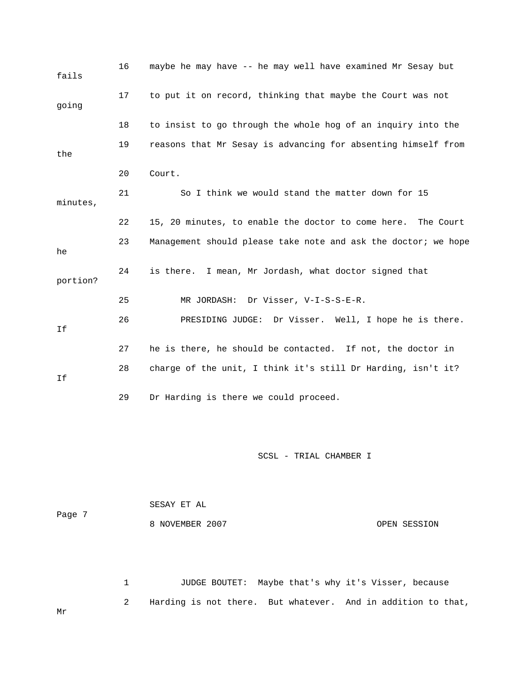| fails    | 16 | maybe he may have -- he may well have examined Mr Sesay but    |
|----------|----|----------------------------------------------------------------|
| going    | 17 | to put it on record, thinking that maybe the Court was not     |
|          | 18 | to insist to go through the whole hog of an inquiry into the   |
| the      | 19 | reasons that Mr Sesay is advancing for absenting himself from  |
|          | 20 | Court.                                                         |
| minutes, | 21 | So I think we would stand the matter down for 15               |
|          | 22 | 15, 20 minutes, to enable the doctor to come here. The Court   |
| he       | 23 | Management should please take note and ask the doctor; we hope |
| portion? | 24 | is there. I mean, Mr Jordash, what doctor signed that          |
|          | 25 | MR JORDASH: Dr Visser, V-I-S-S-E-R.                            |
| Ιf       | 26 | PRESIDING JUDGE: Dr Visser. Well, I hope he is there.          |
|          | 27 | he is there, he should be contacted. If not, the doctor in     |
| Ιf       | 28 | charge of the unit, I think it's still Dr Harding, isn't it?   |
|          | 29 | Dr Harding is there we could proceed.                          |

 SESAY ET AL Page 7 8 NOVEMBER 2007 CPEN SESSION

 1 JUDGE BOUTET: Maybe that's why it's Visser, because 2 Harding is not there. But whatever. And in addition to that, Mr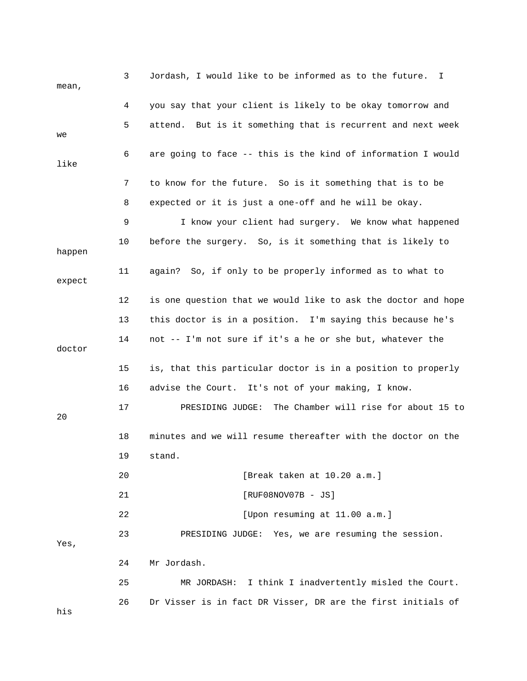| mean,  | 3  | Jordash, I would like to be informed as to the future. I      |
|--------|----|---------------------------------------------------------------|
|        | 4  | you say that your client is likely to be okay tomorrow and    |
| we     | 5  | attend. But is it something that is recurrent and next week   |
| like   | 6  | are going to face -- this is the kind of information I would  |
|        | 7  | to know for the future. So is it something that is to be      |
|        | 8  | expected or it is just a one-off and he will be okay.         |
|        | 9  | I know your client had surgery. We know what happened         |
| happen | 10 | before the surgery. So, is it something that is likely to     |
| expect | 11 | again? So, if only to be properly informed as to what to      |
|        | 12 | is one question that we would like to ask the doctor and hope |
|        | 13 | this doctor is in a position. I'm saying this because he's    |
| doctor | 14 | not -- I'm not sure if it's a he or she but, whatever the     |
|        | 15 | is, that this particular doctor is in a position to properly  |
|        | 16 | advise the Court. It's not of your making, I know.            |
| 20     | 17 | The Chamber will rise for about 15 to<br>PRESIDING JUDGE:     |
|        | 18 | minutes and we will resume thereafter with the doctor on the  |
|        | 19 | stand.                                                        |
|        | 20 | [Break taken at 10.20 a.m.]                                   |
|        | 21 | $[RUF08NOV07B - JS]$                                          |
|        | 22 | [Upon resuming at 11.00 a.m.]                                 |
| Yes,   | 23 | PRESIDING JUDGE: Yes, we are resuming the session.            |
|        | 24 | Mr Jordash.                                                   |
|        | 25 | MR JORDASH: I think I inadvertently misled the Court.         |
| his    | 26 | Dr Visser is in fact DR Visser, DR are the first initials of  |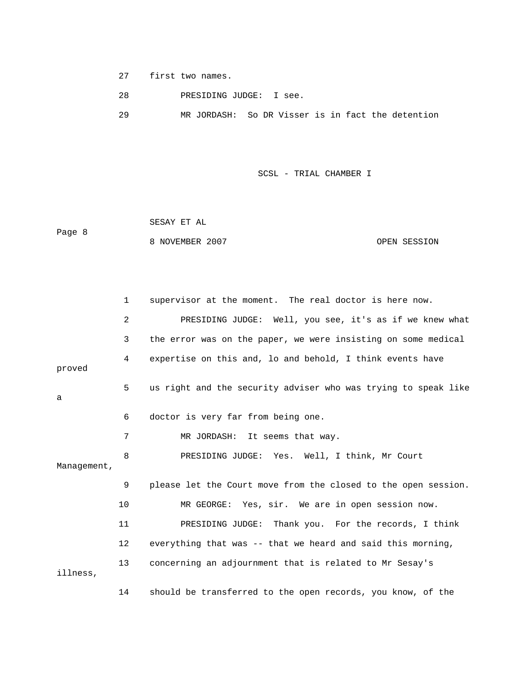27 first two names.

28 PRESIDING JUDGE: I see.

29 MR JORDASH: So DR Visser is in fact the detention

SCSL - TRIAL CHAMBER I

 SESAY ET AL Page 8 8 NOVEMBER 2007 OPEN SESSION

 1 supervisor at the moment. The real doctor is here now. 2 PRESIDING JUDGE: Well, you see, it's as if we knew what 3 the error was on the paper, we were insisting on some medical 4 expertise on this and, lo and behold, I think events have proved 5 us right and the security adviser who was trying to speak like a 6 doctor is very far from being one. 7 MR JORDASH: It seems that way. 8 PRESIDING JUDGE: Yes. Well, I think, Mr Court Management, 9 please let the Court move from the closed to the open session. 10 MR GEORGE: Yes, sir. We are in open session now. 11 PRESIDING JUDGE: Thank you. For the records, I think 12 everything that was -- that we heard and said this morning, 13 concerning an adjournment that is related to Mr Sesay's illness, 14 should be transferred to the open records, you know, of the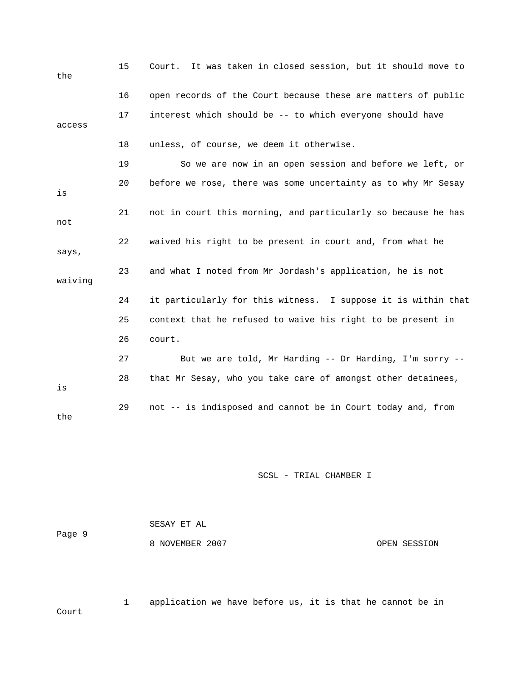| the     | 15 | Court. It was taken in closed session, but it should move to  |
|---------|----|---------------------------------------------------------------|
|         | 16 | open records of the Court because these are matters of public |
| access  | 17 | interest which should be -- to which everyone should have     |
|         | 18 | unless, of course, we deem it otherwise.                      |
|         | 19 | So we are now in an open session and before we left, or       |
| is      | 20 | before we rose, there was some uncertainty as to why Mr Sesay |
| not     | 21 | not in court this morning, and particularly so because he has |
| says,   | 22 | waived his right to be present in court and, from what he     |
| waiving | 23 | and what I noted from Mr Jordash's application, he is not     |
|         | 24 | it particularly for this witness. I suppose it is within that |
|         | 25 | context that he refused to waive his right to be present in   |
|         | 26 | court.                                                        |
|         | 27 | But we are told, Mr Harding -- Dr Harding, I'm sorry --       |
| is      | 28 | that Mr Sesay, who you take care of amongst other detainees,  |
| the     | 29 | not -- is indisposed and cannot be in Court today and, from   |

| Page 9 | SESAY ET AL     |              |
|--------|-----------------|--------------|
|        | 8 NOVEMBER 2007 | OPEN SESSION |

 1 application we have before us, it is that he cannot be in Court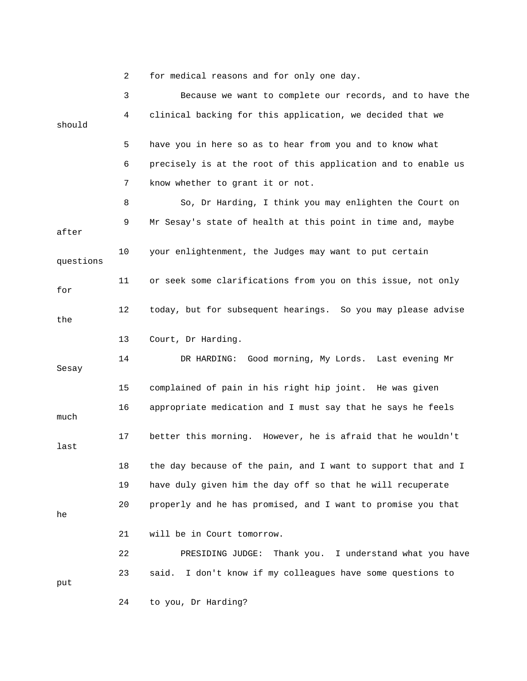2 for medical reasons and for only one day.

 3 Because we want to complete our records, and to have the 4 clinical backing for this application, we decided that we should 5 have you in here so as to hear from you and to know what 6 precisely is at the root of this application and to enable us 7 know whether to grant it or not. 8 So, Dr Harding, I think you may enlighten the Court on 9 Mr Sesay's state of health at this point in time and, maybe after 10 your enlightenment, the Judges may want to put certain questions 11 or seek some clarifications from you on this issue, not only for 12 today, but for subsequent hearings. So you may please advise the 13 Court, Dr Harding. 14 DR HARDING: Good morning, My Lords. Last evening Mr Sesay 15 complained of pain in his right hip joint. He was given 16 appropriate medication and I must say that he says he feels much 17 better this morning. However, he is afraid that he wouldn't last 18 the day because of the pain, and I want to support that and I 19 have duly given him the day off so that he will recuperate 20 properly and he has promised, and I want to promise you that he 21 will be in Court tomorrow. 22 PRESIDING JUDGE: Thank you. I understand what you have 23 said. I don't know if my colleagues have some questions to put 24 to you, Dr Harding?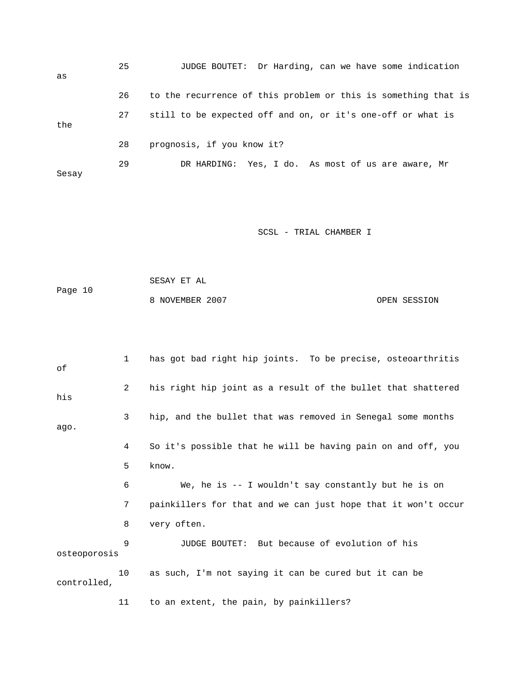25 JUDGE BOUTET: Dr Harding, can we have some indication as 26 to the recurrence of this problem or this is something that is 27 still to be expected off and on, or it's one-off or what is the 28 prognosis, if you know it? 29 DR HARDING: Yes, I do. As most of us are aware, Mr Sesay

SCSL - TRIAL CHAMBER I

 SESAY ET AL Page 10 8 NOVEMBER 2007 OPEN SESSION

 1 has got bad right hip joints. To be precise, osteoarthritis of 2 his right hip joint as a result of the bullet that shattered his 3 hip, and the bullet that was removed in Senegal some months ago. 4 So it's possible that he will be having pain on and off, you 5 know. 6 We, he is -- I wouldn't say constantly but he is on 7 painkillers for that and we can just hope that it won't occur 8 very often. 9 JUDGE BOUTET: But because of evolution of his osteoporosis 10 as such, I'm not saying it can be cured but it can be controlled, 11 to an extent, the pain, by painkillers?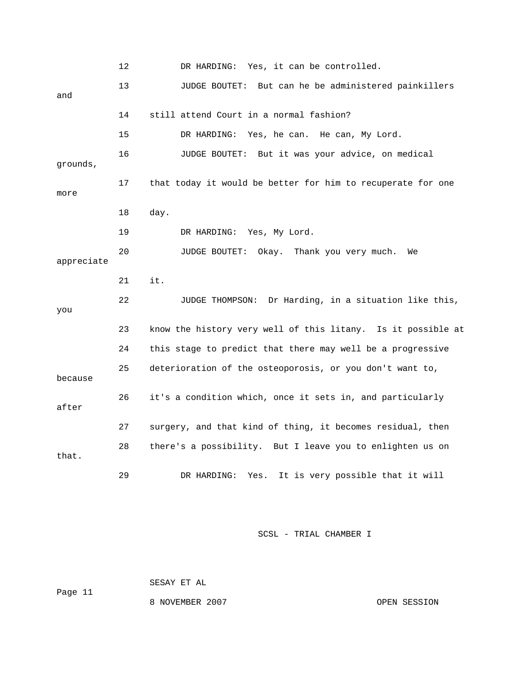12 DR HARDING: Yes, it can be controlled. 13 JUDGE BOUTET: But can he be administered painkillers and 14 still attend Court in a normal fashion? 15 DR HARDING: Yes, he can. He can, My Lord. 16 JUDGE BOUTET: But it was your advice, on medical grounds, 17 that today it would be better for him to recuperate for one more 18 day. 19 DR HARDING: Yes, My Lord. 20 JUDGE BOUTET: Okay. Thank you very much. We appreciate 21 it. 22 JUDGE THOMPSON: Dr Harding, in a situation like this, you 23 know the history very well of this litany. Is it possible at 24 this stage to predict that there may well be a progressive 25 deterioration of the osteoporosis, or you don't want to, because 26 it's a condition which, once it sets in, and particularly after 27 surgery, and that kind of thing, it becomes residual, then 28 there's a possibility. But I leave you to enlighten us on that. 29 DR HARDING: Yes. It is very possible that it will

SCSL - TRIAL CHAMBER I

 SESAY ET AL Page 11

8 NOVEMBER 2007 OPEN SESSION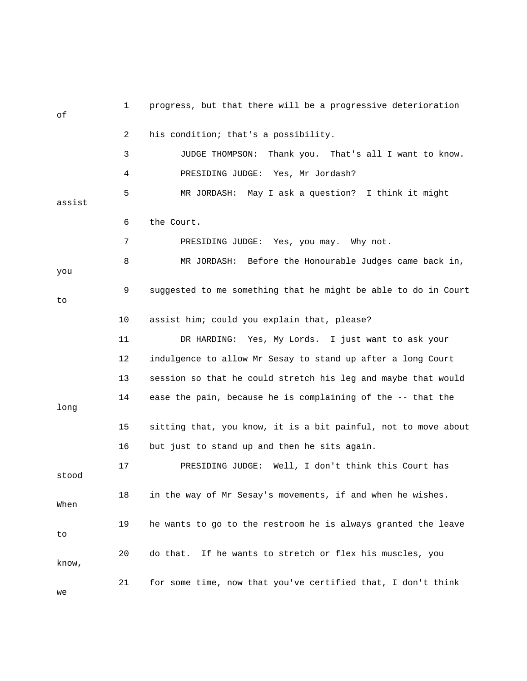| оf     | 1  | progress, but that there will be a progressive deterioration   |
|--------|----|----------------------------------------------------------------|
|        | 2  | his condition; that's a possibility.                           |
|        | 3  | JUDGE THOMPSON:<br>Thank you. That's all I want to know.       |
|        | 4  | PRESIDING JUDGE: Yes, Mr Jordash?                              |
| assist | 5  | MR JORDASH: May I ask a question? I think it might             |
|        | 6  | the Court.                                                     |
|        | 7  | PRESIDING JUDGE: Yes, you may. Why not.                        |
| you    | 8  | MR JORDASH: Before the Honourable Judges came back in,         |
| to     | 9  | suggested to me something that he might be able to do in Court |
|        | 10 | assist him; could you explain that, please?                    |
|        | 11 | DR HARDING: Yes, My Lords. I just want to ask your             |
|        | 12 | indulgence to allow Mr Sesay to stand up after a long Court    |
|        | 13 | session so that he could stretch his leg and maybe that would  |
| long   | 14 | ease the pain, because he is complaining of the -- that the    |
|        | 15 | sitting that, you know, it is a bit painful, not to move about |
|        | 16 | but just to stand up and then he sits again.                   |
| stood  | 17 | Well, I don't think this Court has<br>PRESIDING JUDGE:         |
| When   | 18 | in the way of Mr Sesay's movements, if and when he wishes.     |
| to     | 19 | he wants to go to the restroom he is always granted the leave  |
| know,  | 20 | If he wants to stretch or flex his muscles, you<br>do that.    |
| we     | 21 | for some time, now that you've certified that, I don't think   |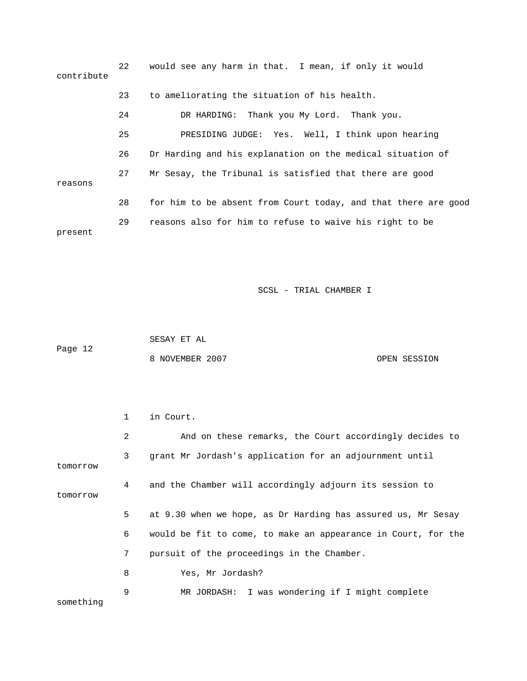| contribute | 22 | would see any harm in that. I mean, if only it would           |
|------------|----|----------------------------------------------------------------|
|            | 23 | to ameliorating the situation of his health.                   |
|            | 24 | DR HARDING: Thank you My Lord. Thank you.                      |
|            | 25 | PRESIDING JUDGE: Yes. Well, I think upon hearing               |
|            | 26 | Dr Harding and his explanation on the medical situation of     |
| reasons    | 27 | Mr Sesay, the Tribunal is satisfied that there are good        |
|            | 28 | for him to be absent from Court today, and that there are good |
| present    | 29 | reasons also for him to refuse to waive his right to be        |

 SESAY ET AL Page 12 8 NOVEMBER 2007 CPEN SESSION

|           | 1              | in Court.                                                     |
|-----------|----------------|---------------------------------------------------------------|
|           | $\overline{2}$ | And on these remarks, the Court accordingly decides to        |
| tomorrow  | 3              | grant Mr Jordash's application for an adjournment until       |
| tomorrow  | 4              | and the Chamber will accordingly adjourn its session to       |
|           | 5              | at 9.30 when we hope, as Dr Harding has assured us, Mr Sesay  |
|           | 6              | would be fit to come, to make an appearance in Court, for the |
|           | 7              | pursuit of the proceedings in the Chamber.                    |
|           | 8              | Yes, Mr Jordash?                                              |
| something | 9              | MR JORDASH: I was wondering if I might complete               |